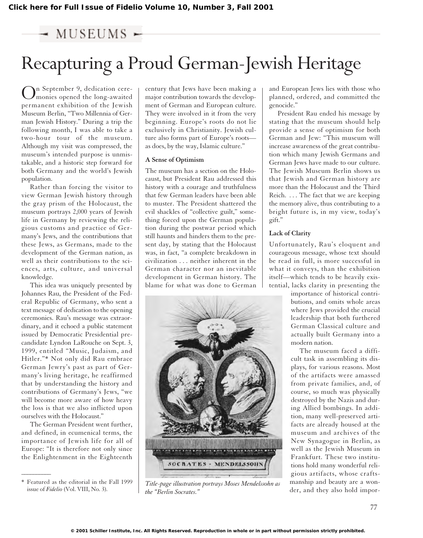# $-$  MUSEUMS  $-$

# Recapturing a Proud German-Jewish Heritage

n September 9, dedication ceremonies opened the long-awaited permanent exhibition of the Jewish Museum Berlin, "Two Millennia of German Jewish History." During a trip the following month, I was able to take a two-hour tour of the museum. Although my visit was compressed, the museum's intended purpose is unmistakable, and a historic step forward for both Germany and the world's Jewish population.

Rather than forcing the visitor to view German Jewish history through the gray prism of the Holocaust, the museum portrays 2,000 years of Jewish life in Germany by reviewing the religious customs and practice of Germany's Jews, and the contributions that these Jews, as Germans, made to the development of the German nation, as well as their contributions to the sciences, arts, culture, and universal knowledge.

This idea was uniquely presented by Johannes Rau, the President of the Federal Republic of Germany, who sent a text message of dedication to the opening ceremonies. Rau's message was extraordinary, and it echoed a public statement issued by Democratic Presidential precandidate Lyndon LaRouche on Sept. 3, 1999, entitled "Music, Judaism, and Hitler."\* Not only did Rau embrace German Jewry's past as part of Germany's living heritage, he reaffirmed that by understanding the history and contributions of Germany's Jews, "we will become more aware of how heavy the loss is that we also inflicted upon ourselves with the Holocaust."

The German President went further, and defined, in ecumenical terms, the importance of Jewish life for all of Europe: "It is therefore not only since the Enlightenment in the Eighteenth

 $\overline{\phantom{a}}$ 

century that Jews have been making a major contribution towards the development of German and European culture. They were involved in it from the very beginning. Europe's roots do not lie exclusively in Christianity. Jewish culture also forms part of Europe's roots as does, by the way, Islamic culture."

#### **A Sense of Optimism**

The museum has a section on the Holocaust, but President Rau addressed this history with a courage and truthfulness that few German leaders have been able to muster. The President shattered the evil shackles of "collective guilt," something forced upon the German population during the postwar period which still haunts and hinders them to the present day, by stating that the Holocaust was, in fact, "a complete breakdown in civilization . . . neither inherent in the German character nor an inevitable development in German history. The blame for what was done to German



Featured as the editorial in the Fall 1999 *Title-page illustration portrays Moses Mendelssohn as*<br>issue of *Fidelio* (Vol. VIII, No. 3). *the "Berlin Socrates."*

and European Jews lies with those who planned, ordered, and committed the genocide."

President Rau ended his message by stating that the museum should help provide a sense of optimism for both German and Jew: "This museum will increase awareness of the great contribution which many Jewish Germans and German Jews have made to our culture. The Jewish Museum Berlin shows us that Jewish and German history are more than the Holocaust and the Third Reich. ... The fact that we are keeping the memory alive, thus contributing to a bright future is, in my view, today's gift."

## **Lack of Clarity**

Unfortunately, Rau's eloquent and courageous message, whose text should be read in full, is more successful in what it conveys, than the exhibition itself—which tends to be heavily existential, lacks clarity in presenting the

> importance of historical contributions, and omits whole areas where Jews provided the crucial leadership that both furthered German Classical culture and actually built Germany into a modern nation.

The museum faced a difficult task in assembling its displays, for various reasons. Most of the artifacts were amassed from private families, and, of course, so much was physically destroyed by the Nazis and during Allied bombings. In addition, many well-preserved artifacts are already housed at the museum and archives of the New Synagogue in Berlin, as well as the Jewish Museum in Frankfurt. These two institutions hold many wonderful religious artifacts, whose craftsmanship and beauty are a wonder, and they also hold impor-

<sup>\*</sup> Featured as the editorial in the Fall 1999